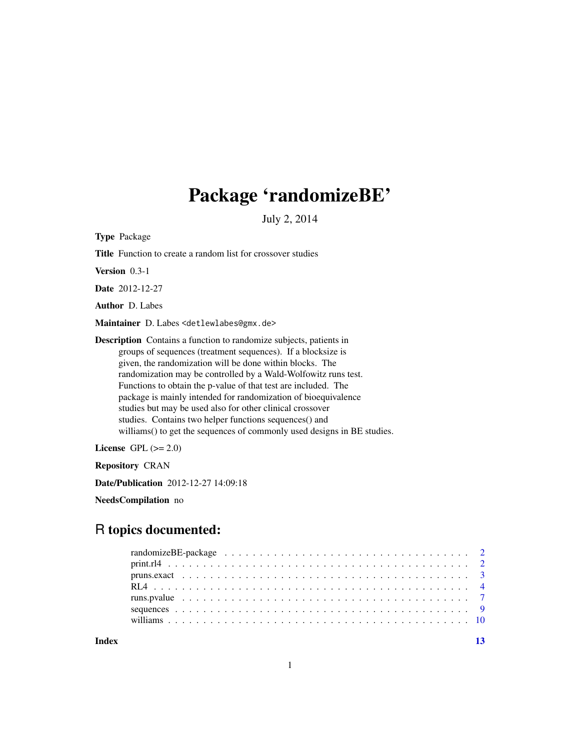## Package 'randomizeBE'

July 2, 2014

<span id="page-0-0"></span>Type Package

Title Function to create a random list for crossover studies

Version 0.3-1

Date 2012-12-27

Author D. Labes

Maintainer D. Labes <detlewlabes@gmx.de>

Description Contains a function to randomize subjects, patients in groups of sequences (treatment sequences). If a blocksize is given, the randomization will be done within blocks. The randomization may be controlled by a Wald-Wolfowitz runs test. Functions to obtain the p-value of that test are included. The package is mainly intended for randomization of bioequivalence studies but may be used also for other clinical crossover studies. Contains two helper functions sequences() and williams() to get the sequences of commonly used designs in BE studies.

License GPL  $(>= 2.0)$ 

Repository CRAN

Date/Publication 2012-12-27 14:09:18

NeedsCompilation no

## R topics documented:

**Index** [13](#page-12-0)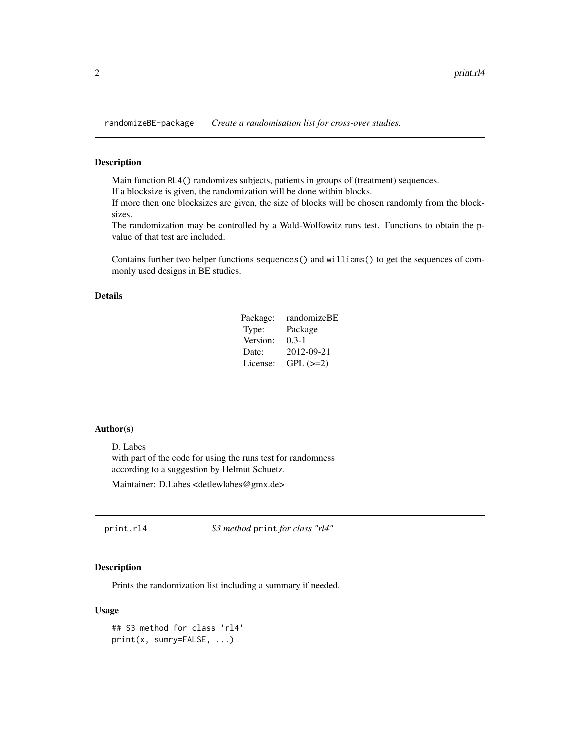<span id="page-1-0"></span>randomizeBE-package *Create a randomisation list for cross-over studies.*

## Description

Main function RL4() randomizes subjects, patients in groups of (treatment) sequences. If a blocksize is given, the randomization will be done within blocks.

If more then one blocksizes are given, the size of blocks will be chosen randomly from the blocksizes.

The randomization may be controlled by a Wald-Wolfowitz runs test. Functions to obtain the pvalue of that test are included.

Contains further two helper functions sequences() and williams() to get the sequences of commonly used designs in BE studies.

## Details

| Package: | randomizeBE   |
|----------|---------------|
| Type:    | Package       |
| Version: | $0.3 - 1$     |
| Date:    | 2012-09-21    |
| License: | $GPL$ $(>=2)$ |

#### Author(s)

D. Labes with part of the code for using the runs test for randomness according to a suggestion by Helmut Schuetz. Maintainer: D.Labes <detlewlabes@gmx.de>

<span id="page-1-1"></span>print.rl4 *S3 method* print *for class "rl4"*

## Description

Prints the randomization list including a summary if needed.

## Usage

```
## S3 method for class 'rl4'
print(x, sumry=FALSE, ...)
```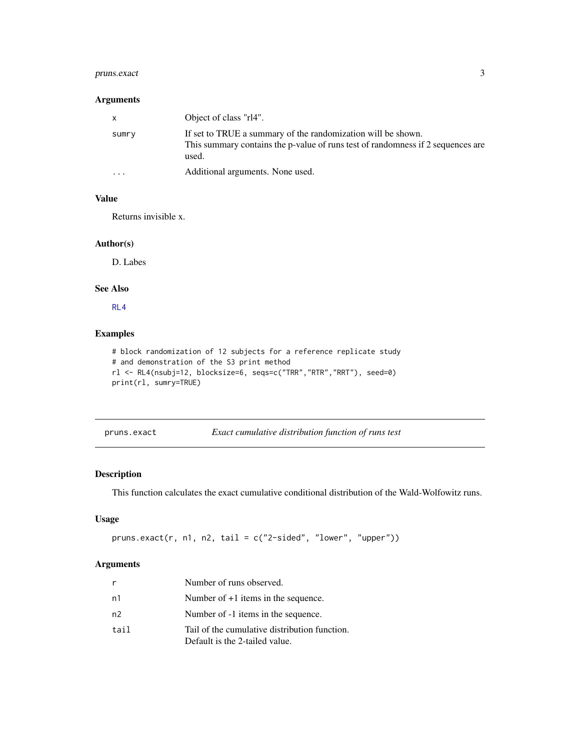## <span id="page-2-0"></span>pruns.exact 3

## Arguments

| $\mathsf{X}$ | Object of class "rl4".                                                                                                                                   |
|--------------|----------------------------------------------------------------------------------------------------------------------------------------------------------|
| sumry        | If set to TRUE a summary of the randomization will be shown.<br>This summary contains the p-value of runs test of randomness if 2 sequences are<br>used. |
| $\cdots$     | Additional arguments. None used.                                                                                                                         |

## Value

Returns invisible x.

## Author(s)

D. Labes

## See Also

[RL4](#page-3-1)

## Examples

```
# block randomization of 12 subjects for a reference replicate study
# and demonstration of the S3 print method
rl <- RL4(nsubj=12, blocksize=6, seqs=c("TRR","RTR","RRT"), seed=0)
print(rl, sumry=TRUE)
```
<span id="page-2-1"></span>

| pruns.exact | Exact cumulative distribution function of runs test |  |  |
|-------------|-----------------------------------------------------|--|--|
|             |                                                     |  |  |

## Description

This function calculates the exact cumulative conditional distribution of the Wald-Wolfowitz runs.

## Usage

```
pruns.exact(r, n1, n2, tail = c("2-sided", "lower", "upper"))
```
#### Arguments

|                | Number of runs observed.                                                        |
|----------------|---------------------------------------------------------------------------------|
| n1             | Number of $+1$ items in the sequence.                                           |
| n <sup>2</sup> | Number of -1 items in the sequence.                                             |
| tail           | Tail of the cumulative distribution function.<br>Default is the 2-tailed value. |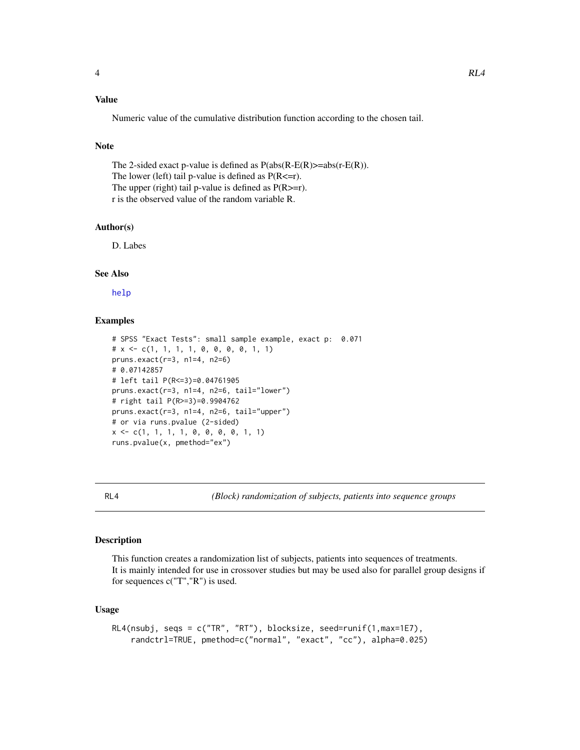## <span id="page-3-0"></span>Value

Numeric value of the cumulative distribution function according to the chosen tail.

## Note

The 2-sided exact p-value is defined as  $P(abs(R-E(R))=abs(r-E(R))$ . The lower (left) tail p-value is defined as  $P(R \leq r)$ . The upper (right) tail p-value is defined as  $P(R>=r)$ . r is the observed value of the random variable R.

#### Author(s)

D. Labes

## See Also

[help](#page-0-0)

#### Examples

```
# SPSS "Exact Tests": small sample example, exact p: 0.071
# x \leftarrow c(1, 1, 1, 1, 0, 0, 0, 0, 1, 1)pruns.exact(r=3, n1=4, n2=6)
# 0.07142857
# left tail P(R<=3)=0.04761905
pruns.exact(r=3, n1=4, n2=6, tail="lower")
# right tail P(R>=3)=0.9904762
pruns.exact(r=3, n1=4, n2=6, tail="upper")
# or via runs.pvalue (2-sided)
x \leq -c(1, 1, 1, 1, 0, 0, 0, 0, 1, 1)runs.pvalue(x, pmethod="ex")
```
<span id="page-3-1"></span>RL4 *(Block) randomization of subjects, patients into sequence groups*

#### Description

This function creates a randomization list of subjects, patients into sequences of treatments. It is mainly intended for use in crossover studies but may be used also for parallel group designs if for sequences c("T","R") is used.

#### Usage

```
RL4(nsubj, seqs = c("TR", "RT"), blocksize, seed=runif(1,max=1E7),
    randctrl=TRUE, pmethod=c("normal", "exact", "cc"), alpha=0.025)
```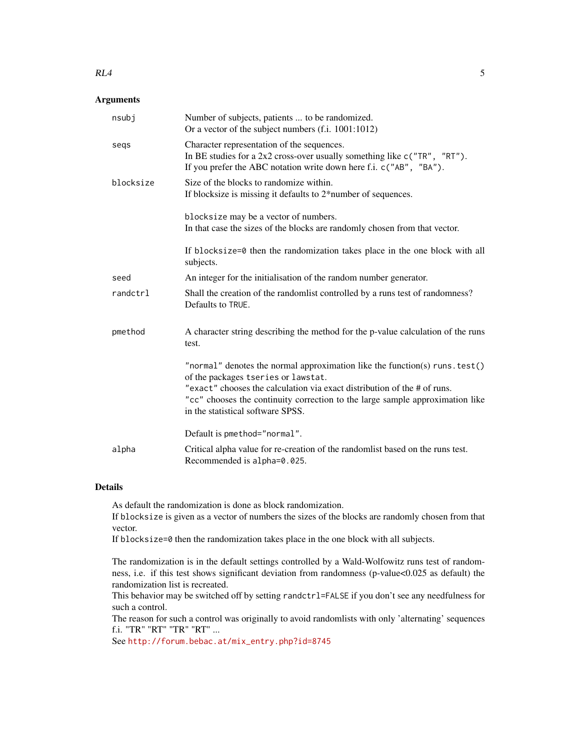#### $RL4$  5

## Arguments

| nsubi     | Number of subjects, patients  to be randomized.<br>Or a vector of the subject numbers (f.i. 1001:1012)                                                                                                                                                                                                               |
|-----------|----------------------------------------------------------------------------------------------------------------------------------------------------------------------------------------------------------------------------------------------------------------------------------------------------------------------|
| segs      | Character representation of the sequences.<br>In BE studies for a 2x2 cross-over usually something like $c("TR", "RT")$ .<br>If you prefer the ABC notation write down here f.i. c("AB", "BA").                                                                                                                      |
| blocksize | Size of the blocks to randomize within.<br>If blocksize is missing it defaults to 2*number of sequences.                                                                                                                                                                                                             |
|           | blocksize may be a vector of numbers.<br>In that case the sizes of the blocks are randomly chosen from that vector.                                                                                                                                                                                                  |
|           | If blocksize=0 then the randomization takes place in the one block with all<br>subjects.                                                                                                                                                                                                                             |
| seed      | An integer for the initialisation of the random number generator.                                                                                                                                                                                                                                                    |
| randctrl  | Shall the creation of the randomlist controlled by a runs test of randomness?<br>Defaults to TRUE.                                                                                                                                                                                                                   |
| pmethod   | A character string describing the method for the p-value calculation of the runs<br>test.                                                                                                                                                                                                                            |
|           | "normal" denotes the normal approximation like the function(s) runs. test()<br>of the packages tseries or lawstat.<br>"exact" chooses the calculation via exact distribution of the # of runs.<br>"cc" chooses the continuity correction to the large sample approximation like<br>in the statistical software SPSS. |
|           | Default is pmethod="normal".                                                                                                                                                                                                                                                                                         |
| alpha     | Critical alpha value for re-creation of the randomlist based on the runs test.<br>Recommended is alpha=0.025.                                                                                                                                                                                                        |

## Details

As default the randomization is done as block randomization.

If blocksize is given as a vector of numbers the sizes of the blocks are randomly chosen from that vector.

If blocksize=0 then the randomization takes place in the one block with all subjects.

The randomization is in the default settings controlled by a Wald-Wolfowitz runs test of randomness, i.e. if this test shows significant deviation from randomness (p-value<0.025 as default) the randomization list is recreated.

This behavior may be switched off by setting randctrl=FALSE if you don't see any needfulness for such a control.

The reason for such a control was originally to avoid randomlists with only 'alternating' sequences f.i. "TR" "RT" "TR" "RT" ...

See [http://forum.bebac.at/mix\\_entry.php?id=8745](http://forum.bebac.at/mix_entry.php?id=8745)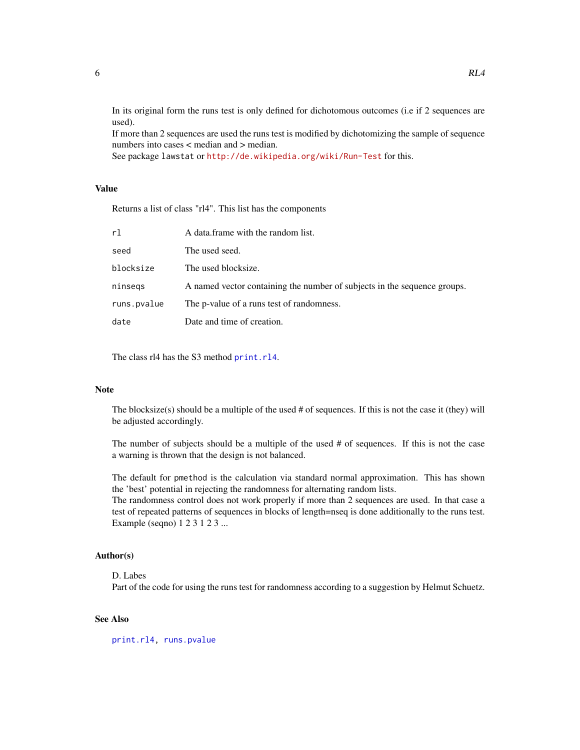<span id="page-5-0"></span>In its original form the runs test is only defined for dichotomous outcomes (i.e if 2 sequences are used).

If more than 2 sequences are used the runs test is modified by dichotomizing the sample of sequence numbers into cases < median and > median.

See package lawstat or <http://de.wikipedia.org/wiki/Run-Test> for this.

## Value

Returns a list of class "rl4". This list has the components

| rl          | A data frame with the random list.                                       |
|-------------|--------------------------------------------------------------------------|
| seed        | The used seed.                                                           |
| blocksize   | The used blocksize.                                                      |
| ninsegs     | A named vector containing the number of subjects in the sequence groups. |
| runs.pvalue | The p-value of a runs test of randomness.                                |
| date        | Date and time of creation.                                               |

The class rl4 has the S3 method [print.rl4](#page-1-1).

#### Note

The blocksize(s) should be a multiple of the used # of sequences. If this is not the case it (they) will be adjusted accordingly.

The number of subjects should be a multiple of the used # of sequences. If this is not the case a warning is thrown that the design is not balanced.

The default for pmethod is the calculation via standard normal approximation. This has shown the 'best' potential in rejecting the randomness for alternating random lists.

The randomness control does not work properly if more than 2 sequences are used. In that case a test of repeated patterns of sequences in blocks of length=nseq is done additionally to the runs test. Example (seqno) 1 2 3 1 2 3 ...

#### Author(s)

D. Labes

Part of the code for using the runs test for randomness according to a suggestion by Helmut Schuetz.

## See Also

[print.rl4,](#page-1-1) [runs.pvalue](#page-6-1)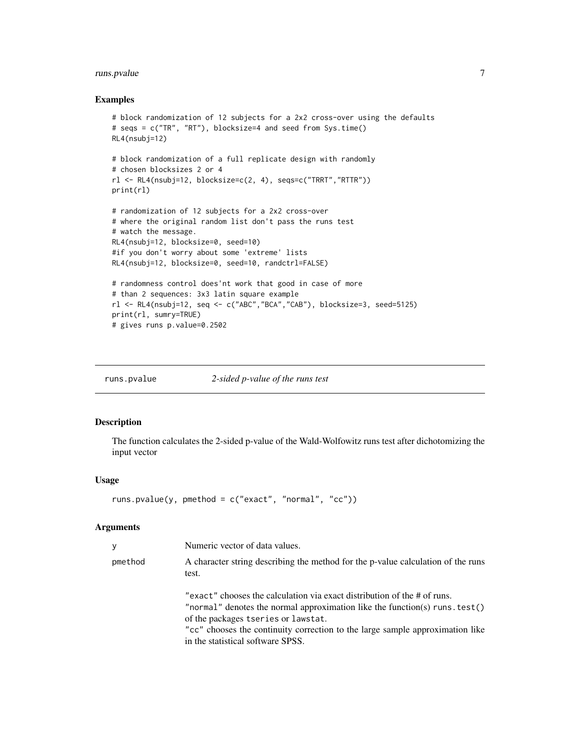## <span id="page-6-0"></span>runs.pvalue 7

#### Examples

```
# block randomization of 12 subjects for a 2x2 cross-over using the defaults
# seqs = c("TR", "RT"), blocksize=4 and seed from Sys.time()
RL4(nsubj=12)
# block randomization of a full replicate design with randomly
# chosen blocksizes 2 or 4
rl <- RL4(nsubj=12, blocksize=c(2, 4), seqs=c("TRRT","RTTR"))
print(rl)
# randomization of 12 subjects for a 2x2 cross-over
# where the original random list don't pass the runs test
# watch the message.
RL4(nsubj=12, blocksize=0, seed=10)
#if you don't worry about some 'extreme' lists
RL4(nsubj=12, blocksize=0, seed=10, randctrl=FALSE)
# randomness control does'nt work that good in case of more
# than 2 sequences: 3x3 latin square example
rl <- RL4(nsubj=12, seq <- c("ABC","BCA","CAB"), blocksize=3, seed=5125)
print(rl, sumry=TRUE)
# gives runs p.value=0.2502
```
<span id="page-6-1"></span>runs.pvalue *2-sided p-value of the runs test*

## Description

The function calculates the 2-sided p-value of the Wald-Wolfowitz runs test after dichotomizing the input vector

#### Usage

```
runs.pvalue(y, pmethod = c("exact", "normal", "cc"))
```
## Arguments

| y       | Numeric vector of data values.                                                                                                                                                                                                                                                                                       |
|---------|----------------------------------------------------------------------------------------------------------------------------------------------------------------------------------------------------------------------------------------------------------------------------------------------------------------------|
| pmethod | A character string describing the method for the p-value calculation of the runs<br>test.                                                                                                                                                                                                                            |
|         | "exact" chooses the calculation via exact distribution of the # of runs.<br>"normal" denotes the normal approximation like the function(s) runs. test()<br>of the packages tseries or lawstat.<br>"cc" chooses the continuity correction to the large sample approximation like<br>in the statistical software SPSS. |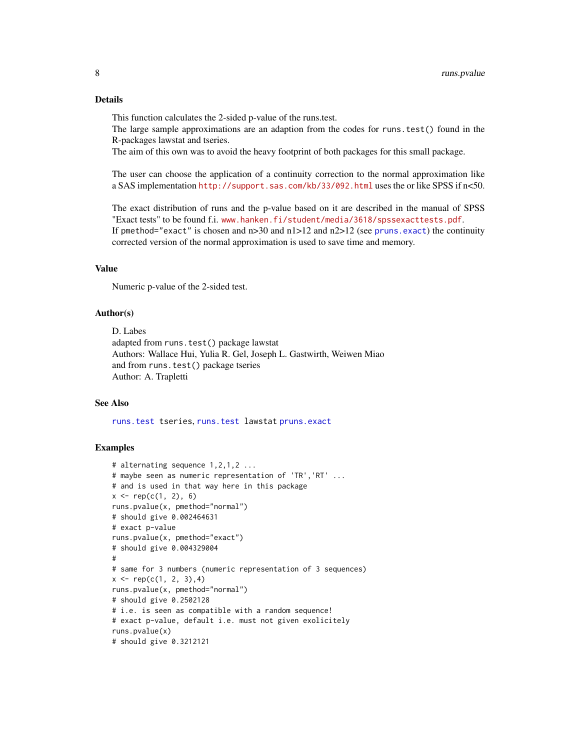## <span id="page-7-0"></span>Details

This function calculates the 2-sided p-value of the runs.test.

The large sample approximations are an adaption from the codes for runs.test() found in the R-packages lawstat and tseries.

The aim of this own was to avoid the heavy footprint of both packages for this small package.

The user can choose the application of a continuity correction to the normal approximation like a SAS implementation <http://support.sas.com/kb/33/092.html> uses the or like SPSS if n<50.

The exact distribution of runs and the p-value based on it are described in the manual of SPSS "Exact tests" to be found f.i. <www.hanken.fi/student/media/3618/spssexacttests.pdf>. If pmethod="exact" is chosen and  $n>30$  and  $n>12$  and  $n\geq 12$  (see [pruns.exact](#page-2-1)) the continuity corrected version of the normal approximation is used to save time and memory.

## Value

Numeric p-value of the 2-sided test.

#### Author(s)

D. Labes adapted from runs.test() package lawstat Authors: Wallace Hui, Yulia R. Gel, Joseph L. Gastwirth, Weiwen Miao and from runs.test() package tseries Author: A. Trapletti

#### See Also

[runs.test](#page-0-0) tseries, [runs.test](#page-0-0) lawstat [pruns.exact](#page-2-1)

#### Examples

```
# alternating sequence 1,2,1,2 ...
# maybe seen as numeric representation of 'TR','RT' ...
# and is used in that way here in this package
x \leq -\text{rep}(c(1, 2), 6)runs.pvalue(x, pmethod="normal")
# should give 0.002464631
# exact p-value
runs.pvalue(x, pmethod="exact")
# should give 0.004329004
#
# same for 3 numbers (numeric representation of 3 sequences)
x \leq -\text{rep}(c(1, 2, 3), 4)runs.pvalue(x, pmethod="normal")
# should give 0.2502128
# i.e. is seen as compatible with a random sequence!
# exact p-value, default i.e. must not given exolicitely
runs.pvalue(x)
# should give 0.3212121
```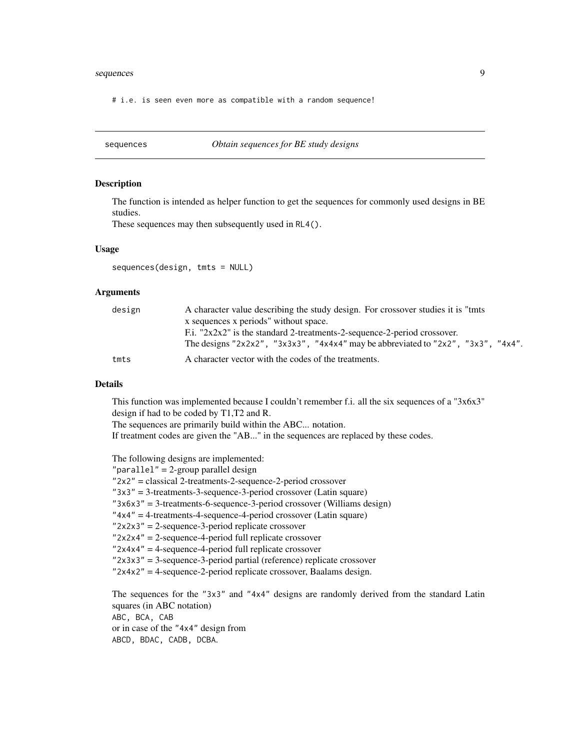#### <span id="page-8-0"></span>sequences and the sequences of the sequences of the sequences of the sequences of the sequences of the sequences

# i.e. is seen even more as compatible with a random sequence!

<span id="page-8-1"></span>sequences *Obtain sequences for BE study designs*

#### Description

The function is intended as helper function to get the sequences for commonly used designs in BE studies.

These sequences may then subsequently used in RL4().

## Usage

sequences(design, tmts = NULL)

#### Arguments

| design | A character value describing the study design. For crossover studies it is "tmts" |
|--------|-----------------------------------------------------------------------------------|
|        | x sequences x periods" without space.                                             |
|        | F.i. " $2x2x2$ " is the standard 2-treatments-2-sequence-2-period crossover.      |
|        | The designs "2x2x2", "3x3x3", "4x4x4" may be abbreviated to "2x2", "3x3", "4x4".  |
| tmts   | A character vector with the codes of the treatments.                              |

#### Details

This function was implemented because I couldn't remember f.i. all the six sequences of a "3x6x3" design if had to be coded by T1,T2 and R.

The sequences are primarily build within the ABC... notation.

If treatment codes are given the "AB..." in the sequences are replaced by these codes.

The following designs are implemented:

```
"parallel" = 2-group parallel design
"2x2" = classical 2-treatments-2-sequence-2-period crossover
"3x3" = 3-treatments-3-sequence-3-period crossover (Latin square)
"3x6x3" = 3-treatments-6-sequence-3-period crossover (Williams design)
"4x4" = 4-treatments-4-sequence-4-period crossover (Latin square)
"2x2x3" = 2-sequence-3-period replicate crossover
"2x2x4" = 2-sequence-4-period full replicate crossover
"2x4x4" = 4-sequence-4-period full replicate crossover
"2x3x3" = 3-sequence-3-period partial (reference) replicate crossover
"2x4x2" = 4-sequence-2-period replicate crossover, Baalams design.
The sequences for the "3x3" and "4x4" designs are randomly derived from the standard Latin
squares (in ABC notation)
ABC, BCA, CAB
or in case of the "4x4" design from
ABCD, BDAC, CADB, DCBA.
```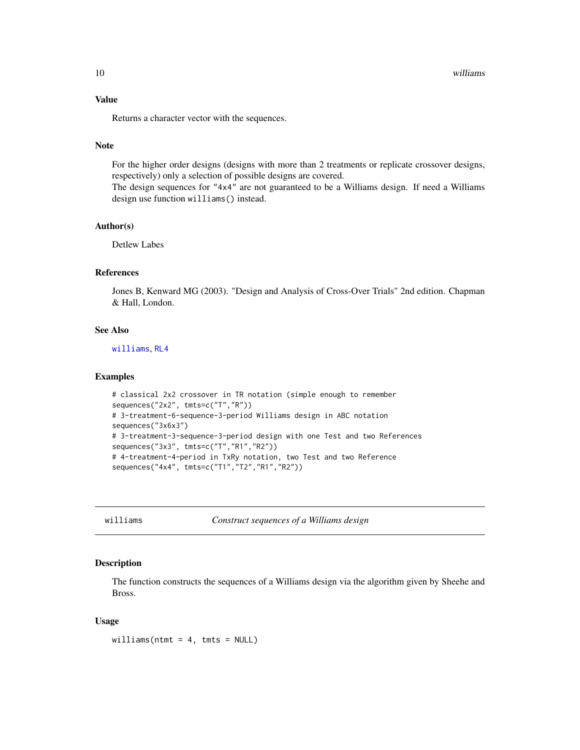## <span id="page-9-0"></span>Value

Returns a character vector with the sequences.

## Note

For the higher order designs (designs with more than 2 treatments or replicate crossover designs, respectively) only a selection of possible designs are covered.

The design sequences for "4x4" are not guaranteed to be a Williams design. If need a Williams design use function williams() instead.

#### Author(s)

Detlew Labes

## References

Jones B, Kenward MG (2003). "Design and Analysis of Cross-Over Trials" 2nd edition. Chapman & Hall, London.

#### See Also

[williams](#page-9-1), [RL4](#page-3-1)

#### Examples

```
# classical 2x2 crossover in TR notation (simple enough to remember
sequences("2x2", tmts=c("T","R"))
# 3-treatment-6-sequence-3-period Williams design in ABC notation
sequences("3x6x3")
# 3-treatment-3-sequence-3-period design with one Test and two References
sequences("3x3", tmts=c("T","R1","R2"))
# 4-treatment-4-period in TxRy notation, two Test and two Reference
sequences("4x4", tmts=c("T1","T2","R1","R2"))
```
<span id="page-9-1"></span>williams *Construct sequences of a Williams design*

## Description

The function constructs the sequences of a Williams design via the algorithm given by Sheehe and Bross.

#### Usage

williams(ntmt = 4, tmts = NULL)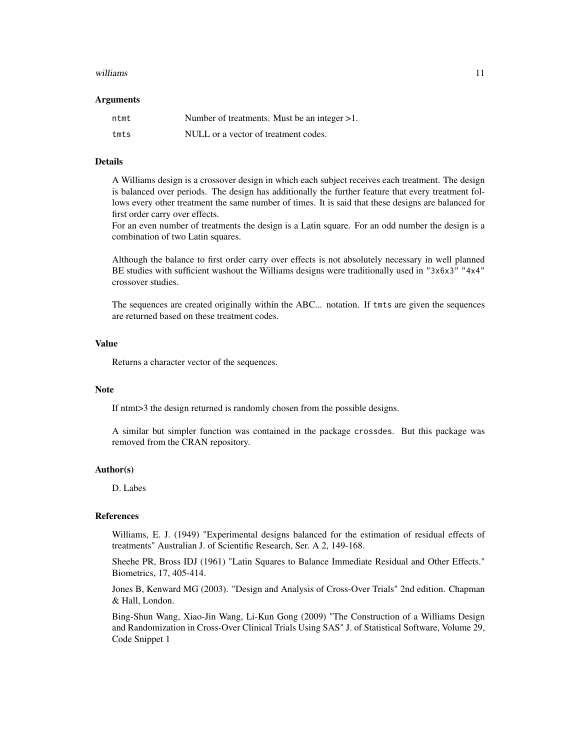#### williams and the contract of the contract of the contract of the contract of the contract of the contract of the contract of the contract of the contract of the contract of the contract of the contract of the contract of t

#### Arguments

| ntmt | Number of treatments. Must be an integer $>1$ . |
|------|-------------------------------------------------|
| tmts | NULL or a vector of treatment codes.            |

#### Details

A Williams design is a crossover design in which each subject receives each treatment. The design is balanced over periods. The design has additionally the further feature that every treatment follows every other treatment the same number of times. It is said that these designs are balanced for first order carry over effects.

For an even number of treatments the design is a Latin square. For an odd number the design is a combination of two Latin squares.

Although the balance to first order carry over effects is not absolutely necessary in well planned BE studies with sufficient washout the Williams designs were traditionally used in "3x6x3" "4x4" crossover studies.

The sequences are created originally within the ABC... notation. If tmts are given the sequences are returned based on these treatment codes.

## Value

Returns a character vector of the sequences.

#### Note

If ntmt>3 the design returned is randomly chosen from the possible designs.

A similar but simpler function was contained in the package crossdes. But this package was removed from the CRAN repository.

#### Author(s)

D. Labes

## References

Williams, E. J. (1949) "Experimental designs balanced for the estimation of residual effects of treatments" Australian J. of Scientific Research, Ser. A 2, 149-168.

Sheehe PR, Bross IDJ (1961) "Latin Squares to Balance Immediate Residual and Other Effects." Biometrics, 17, 405-414.

Jones B, Kenward MG (2003). "Design and Analysis of Cross-Over Trials" 2nd edition. Chapman & Hall, London.

Bing-Shun Wang, Xiao-Jin Wang, Li-Kun Gong (2009) "The Construction of a Williams Design and Randomization in Cross-Over Clinical Trials Using SAS" J. of Statistical Software, Volume 29, Code Snippet 1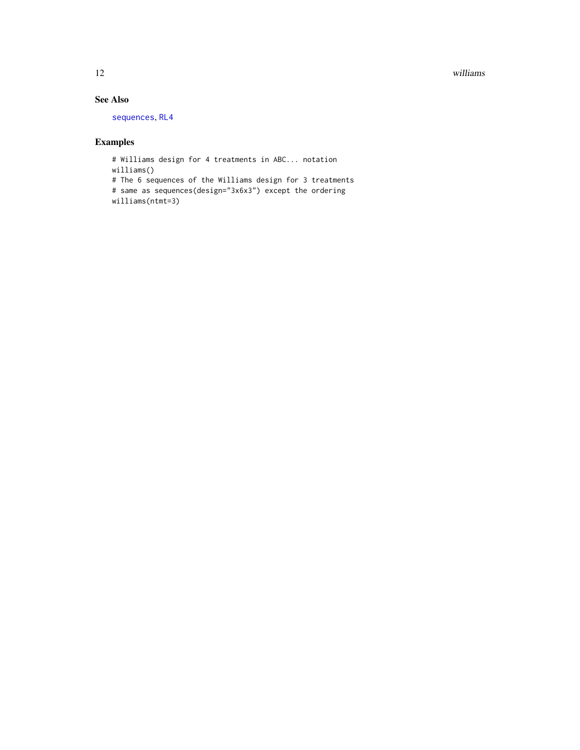<span id="page-11-0"></span>12 williams williams williams williams williams williams williams williams williams williams williams williams

## See Also

[sequences](#page-8-1), [RL4](#page-3-1)

## Examples

# Williams design for 4 treatments in ABC... notation williams() # The 6 sequences of the Williams design for 3 treatments # same as sequences(design="3x6x3") except the ordering williams(ntmt=3)